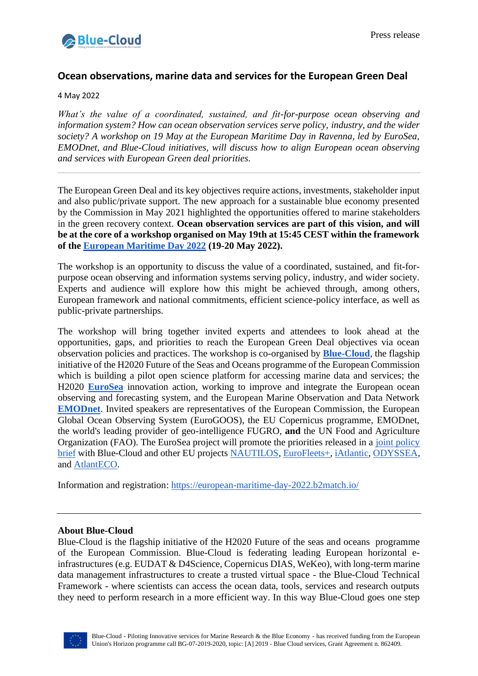

## **Ocean observations, marine data and services for the European Green Deal**

4 May 2022

*What's the value of a coordinated, sustained, and fit-for-purpose ocean observing and information system? How can ocean observation services serve policy, industry, and the wider society? A workshop on 19 May at the European Maritime Day in Ravenna, led by EuroSea, EMODnet, and Blue-Cloud initiatives, will discuss how to align European ocean observing and services with European Green deal priorities.*

The European Green Deal and its key objectives require actions, investments, stakeholder input and also public/private support. The new approach for a sustainable blue economy presented by the Commission in May 2021 highlighted the opportunities offered to marine stakeholders in the green recovery context. **Ocean observation services are part of this vision, and will be at the core of a workshop organised on May 19th at 15:45 CEST within the framework of the [European Maritime Day 2022](https://european-maritime-day-2022.b2match.io/) (19-20 May 2022).**

The workshop is an opportunity to discuss the value of a coordinated, sustained, and fit-forpurpose ocean observing and information systems serving policy, industry, and wider society. Experts and audience will explore how this might be achieved through, among others, European framework and national commitments, efficient science-policy interface, as well as public-private partnerships.

The workshop will bring together invited experts and attendees to look ahead at the opportunities, gaps, and priorities to reach the European Green Deal objectives via ocean observation policies and practices. The workshop is co-organised by **[Blue-Cloud](https://blue-cloud.org/)**, the flagship initiative of the H2020 Future of the Seas and Oceans programme of the European Commission which is building a pilot open science platform for accessing marine data and services; the H2020 **[EuroSea](https://eurosea.eu/)** innovation action, working to improve and integrate the European ocean observing and forecasting system, and the European Marine Observation and Data Network **[EMODnet](https://emodnet.ec.europa.eu/en)**. Invited speakers are representatives of the European Commission, the European Global Ocean Observing System (EuroGOOS), the EU Copernicus programme, EMODnet, the world's leading provider of geo-intelligence FUGRO, **and** the UN Food and Agriculture Organization (FAO). The EuroSea project will promote the priorities released in a [joint policy](https://doi.org/10.5281/zenodo.5576120)  [brief](https://doi.org/10.5281/zenodo.5576120) with Blue-Cloud and other EU projects [NAUTILOS,](https://www.nautilos-h2020.eu/) [EuroFleets+,](https://www.eurofleets.eu/) [iAtlantic,](https://www.iatlantic.eu/) [ODYSSEA,](https://odysseaplatform.eu/) and [AtlantECO.](https://www.atlanteco.eu/)

Information and registration: [https://european-maritime-day-2022.b2match.io/](https://european-maritime-day-2022.b2match.io/agenda)

## **About Blue-Cloud**

Blue-Cloud is the flagship initiative of the H2020 Future of the seas and oceans programme of the European Commission. Blue-Cloud is federating leading European horizontal einfrastructures (e.g. EUDAT & D4Science, Copernicus DIAS, WeKeo), with long-term marine data management infrastructures to create a trusted virtual space - the Blue-Cloud Technical Framework - where scientists can access the ocean data, tools, services and research outputs they need to perform research in a more efficient way. In this way Blue-Cloud goes one step